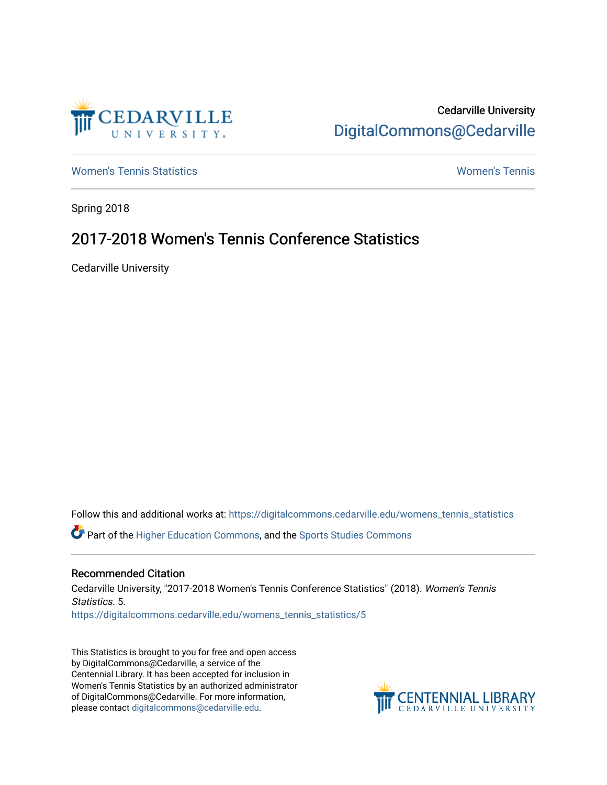

Cedarville University [DigitalCommons@Cedarville](https://digitalcommons.cedarville.edu/) 

[Women's Tennis Statistics](https://digitalcommons.cedarville.edu/womens_tennis_statistics) [Women's Tennis](https://digitalcommons.cedarville.edu/womens_tennis) 

Spring 2018

## 2017-2018 Women's Tennis Conference Statistics

Cedarville University

Follow this and additional works at: [https://digitalcommons.cedarville.edu/womens\\_tennis\\_statistics](https://digitalcommons.cedarville.edu/womens_tennis_statistics?utm_source=digitalcommons.cedarville.edu%2Fwomens_tennis_statistics%2F5&utm_medium=PDF&utm_campaign=PDFCoverPages)  Part of the [Higher Education Commons,](http://network.bepress.com/hgg/discipline/1245?utm_source=digitalcommons.cedarville.edu%2Fwomens_tennis_statistics%2F5&utm_medium=PDF&utm_campaign=PDFCoverPages) and the [Sports Studies Commons](http://network.bepress.com/hgg/discipline/1198?utm_source=digitalcommons.cedarville.edu%2Fwomens_tennis_statistics%2F5&utm_medium=PDF&utm_campaign=PDFCoverPages) 

## Recommended Citation

Cedarville University, "2017-2018 Women's Tennis Conference Statistics" (2018). Women's Tennis Statistics. 5. [https://digitalcommons.cedarville.edu/womens\\_tennis\\_statistics/5](https://digitalcommons.cedarville.edu/womens_tennis_statistics/5?utm_source=digitalcommons.cedarville.edu%2Fwomens_tennis_statistics%2F5&utm_medium=PDF&utm_campaign=PDFCoverPages)

This Statistics is brought to you for free and open access by DigitalCommons@Cedarville, a service of the Centennial Library. It has been accepted for inclusion in Women's Tennis Statistics by an authorized administrator of DigitalCommons@Cedarville. For more information, please contact [digitalcommons@cedarville.edu](mailto:digitalcommons@cedarville.edu).